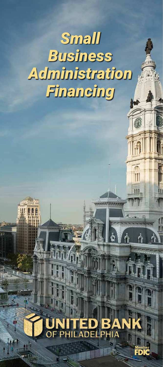# *Small Business Administration Financing*



 $\overset{4}{\parallel}$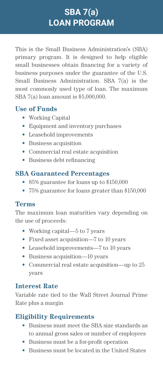# **SBA 7(a) LOAN PROGRAM**

This is the Small Business Administration's (SBA) primary program. It is designed to help eligible small businesses obtain financing for a variety of business purposes under the guarantee of the U.S. Small Business Administration. SBA 7(a) is the most commonly used type of loan. The maximum SBA 7(a) loan amount is \$5,000,000.

#### **Use of Funds**

- Working Capital
- Equipment and inventory purchases
- Leasehold improvements
- Business acquisition
- Commercial real estate acquisition
- Business debt refinancing

#### **SBA Guaranteed Percentages**

- 85% guarantee for loans up to \$150,000
- 75% guarantee for loans greater than \$150,000

#### **Terms**

The maximum loan maturities vary depending on the use of proceeds:

- Working capital—5 to 7 years
- Fixed asset acquisition—7 to 10 years
- Leasehold improvements—7 to 10 years
- Business acquisition—10 years
- Commercial real estate acquisition—up to 25 years

#### **Interest Rate**

Variable rate tied to the Wall Street Journal Prime Rate plus a margin

### **Eligibility Requirements**

- Business must meet the SBA size standards as to annual gross sales or number of employees
- Business must be a for-profit operation
- Business must be located in the United States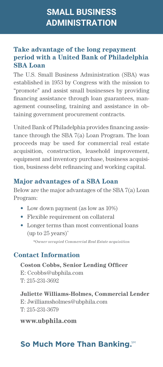# **SMALL BUSINESS ADMINISTRATION**

#### **Take advantage of the long repayment period with a United Bank of Philadelphia SBA Loan**

The U.S. Small Business Administration (SBA) was established in 1953 by Congress with the mission to "promote" and assist small businesses by providing financing assistance through loan guarantees, management counseling, training and assistance in obtaining government procurement contracts.

United Bank of Philadelphia provides financing assistance through the SBA 7(a) Loan Program. The loan proceeds may be used for commercial real estate acquisition, construction, leasehold improvement, equipment and inventory purchase, business acquisition, business debt refinancing and working capital.

#### **Major advantages of a SBA Loan**

Below are the major advantages of the SBA 7(a) Loan Program:

- Low down payment (as low as  $10\%$ )
- Flexible requirement on collateral
- Longer terms than most conventional loans (up to 25 years)\*

*\*Owner occupied Commercial Real Estate acquisition*

#### **Contact Information**

**Coston Cobbs, Senior Lending Officer** E: Ccobbs@ubphila.com T: 215-231-3692

**Juliette Williams-Holmes, Commercial Lender** E: Jwilliamsholmes@ubphila.com T: 215-231-3679

**www.ubphila.com**

## **So Much More Than Banking.** SM